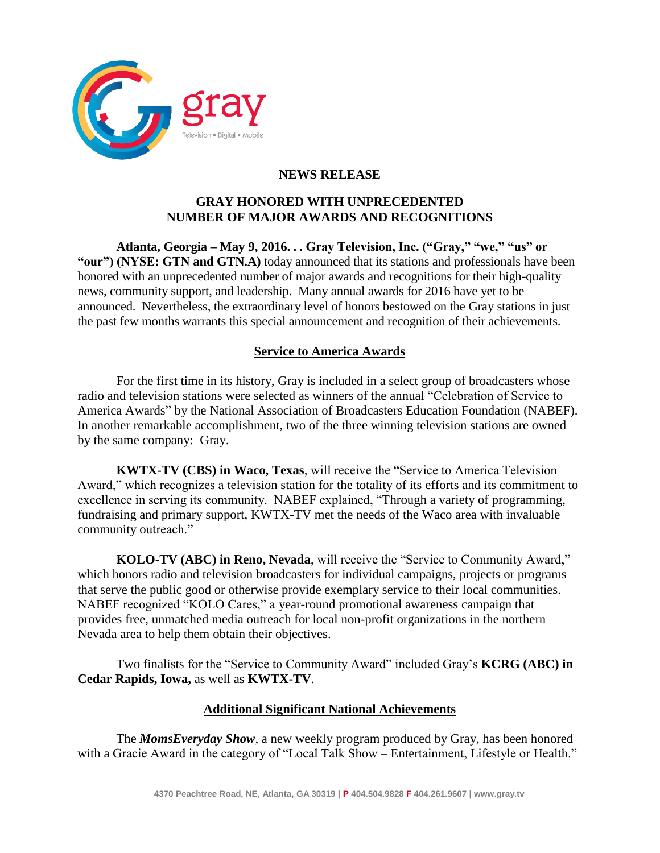

# **NEWS RELEASE**

### **GRAY HONORED WITH UNPRECEDENTED NUMBER OF MAJOR AWARDS AND RECOGNITIONS**

**Atlanta, Georgia – May 9, 2016. . . Gray Television, Inc. ("Gray," "we," "us" or "our") (NYSE: GTN and GTN.A)** today announced that its stations and professionals have been honored with an unprecedented number of major awards and recognitions for their high-quality news, community support, and leadership. Many annual awards for 2016 have yet to be announced. Nevertheless, the extraordinary level of honors bestowed on the Gray stations in just the past few months warrants this special announcement and recognition of their achievements.

### **Service to America Awards**

For the first time in its history, Gray is included in a select group of broadcasters whose radio and television stations were selected as winners of the annual "Celebration of Service to America Awards" by the National Association of Broadcasters Education Foundation (NABEF). In another remarkable accomplishment, two of the three winning television stations are owned by the same company: Gray.

**KWTX-TV (CBS) in Waco, Texas**, will receive the "Service to America Television Award," which recognizes a television station for the totality of its efforts and its commitment to excellence in serving its community. NABEF explained, "Through a variety of programming, fundraising and primary support, KWTX-TV met the needs of the Waco area with invaluable community outreach."

**KOLO-TV (ABC) in Reno, Nevada**, will receive the "Service to Community Award," which honors radio and television broadcasters for individual campaigns, projects or programs that serve the public good or otherwise provide exemplary service to their local communities. NABEF recognized "KOLO Cares," a year-round promotional awareness campaign that provides free, unmatched media outreach for local non-profit organizations in the northern Nevada area to help them obtain their objectives.

Two finalists for the "Service to Community Award" included Gray's **KCRG (ABC) in Cedar Rapids, Iowa,** as well as **KWTX-TV**.

## **Additional Significant National Achievements**

The *MomsEveryday Show*, a new weekly program produced by Gray, has been honored with a Gracie Award in the category of "Local Talk Show – Entertainment, Lifestyle or Health."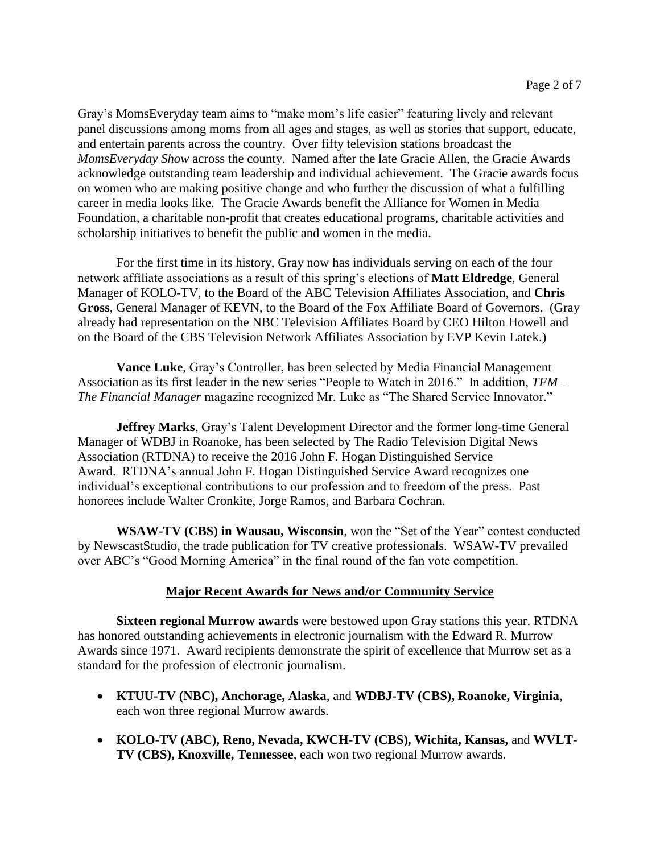Gray's MomsEveryday team aims to "make mom's life easier" featuring lively and relevant panel discussions among moms from all ages and stages, as well as stories that support, educate, and entertain parents across the country. Over fifty television stations broadcast the *MomsEveryday Show* across the county. Named after the late Gracie Allen, the Gracie Awards acknowledge outstanding team leadership and individual achievement. The Gracie awards focus on women who are making positive change and who further the discussion of what a fulfilling career in media looks like. The Gracie Awards benefit the Alliance for Women in Media Foundation, a charitable non-profit that creates educational programs, charitable activities and scholarship initiatives to benefit the public and women in the media.

For the first time in its history, Gray now has individuals serving on each of the four network affiliate associations as a result of this spring's elections of **Matt Eldredge**, General Manager of KOLO-TV, to the Board of the ABC Television Affiliates Association, and **Chris Gross**, General Manager of KEVN, to the Board of the Fox Affiliate Board of Governors. (Gray already had representation on the NBC Television Affiliates Board by CEO Hilton Howell and on the Board of the CBS Television Network Affiliates Association by EVP Kevin Latek.)

**Vance Luke**, Gray's Controller, has been selected by Media Financial Management Association as its first leader in the new series "People to Watch in 2016." In addition, *TFM – The Financial Manager* magazine recognized Mr. Luke as "The Shared Service Innovator."

**Jeffrey Marks**, Gray's Talent Development Director and the former long-time General Manager of WDBJ in Roanoke, has been selected by The Radio Television Digital News Association (RTDNA) to receive the 2016 John F. Hogan Distinguished Service Award. RTDNA's annual John F. Hogan Distinguished Service Award recognizes one individual's exceptional contributions to our profession and to freedom of the press. Past honorees include Walter Cronkite, Jorge Ramos, and Barbara Cochran.

**WSAW-TV (CBS) in Wausau, Wisconsin**, won the "Set of the Year" contest conducted by NewscastStudio, the trade publication for TV creative professionals. WSAW-TV prevailed over ABC's "Good Morning America" in the final round of the fan vote competition.

## **Major Recent Awards for News and/or Community Service**

**Sixteen regional Murrow awards** were bestowed upon Gray stations this year. RTDNA has honored outstanding achievements in electronic journalism with the Edward R. Murrow Awards since 1971. Award recipients demonstrate the spirit of excellence that Murrow set as a standard for the profession of electronic journalism.

- **KTUU-TV (NBC), Anchorage, Alaska**, and **WDBJ-TV (CBS), Roanoke, Virginia**, each won three regional Murrow awards.
- **KOLO-TV (ABC), Reno, Nevada, KWCH-TV (CBS), Wichita, Kansas,** and **WVLT-TV (CBS), Knoxville, Tennessee**, each won two regional Murrow awards.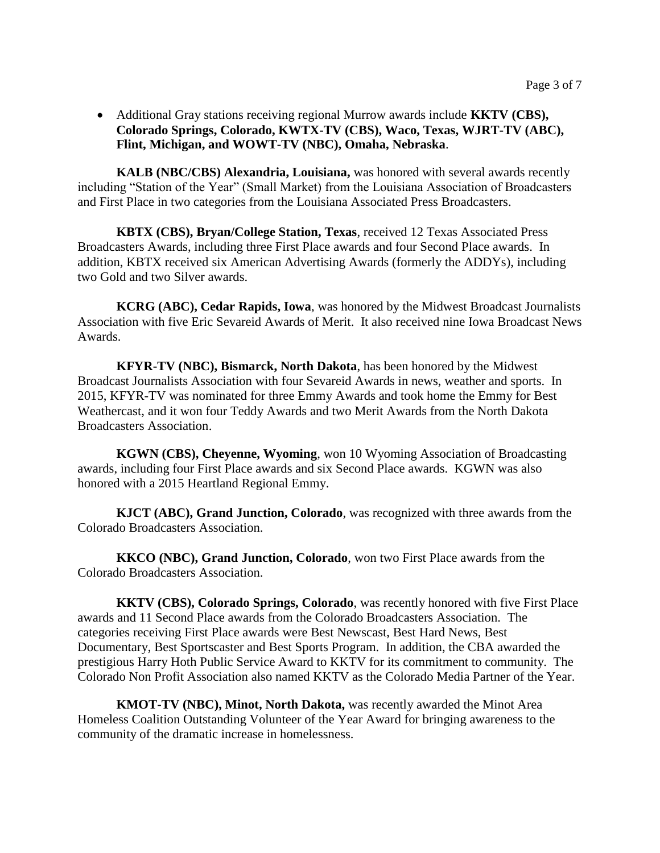Additional Gray stations receiving regional Murrow awards include **KKTV (CBS), Colorado Springs, Colorado, KWTX-TV (CBS), Waco, Texas, WJRT-TV (ABC), Flint, Michigan, and WOWT-TV (NBC), Omaha, Nebraska**.

**KALB (NBC/CBS) Alexandria, Louisiana,** was honored with several awards recently including "Station of the Year" (Small Market) from the Louisiana Association of Broadcasters and First Place in two categories from the Louisiana Associated Press Broadcasters.

**KBTX (CBS), Bryan/College Station, Texas**, received 12 Texas Associated Press Broadcasters Awards, including three First Place awards and four Second Place awards. In addition, KBTX received six American Advertising Awards (formerly the ADDYs), including two Gold and two Silver awards.

**KCRG (ABC), Cedar Rapids, Iowa**, was honored by the Midwest Broadcast Journalists Association with five Eric Sevareid Awards of Merit. It also received nine Iowa Broadcast News Awards.

**KFYR-TV (NBC), Bismarck, North Dakota**, has been honored by the Midwest Broadcast Journalists Association with four Sevareid Awards in news, weather and sports. In 2015, KFYR-TV was nominated for three Emmy Awards and took home the Emmy for Best Weathercast, and it won four Teddy Awards and two Merit Awards from the North Dakota Broadcasters Association.

**KGWN (CBS), Cheyenne, Wyoming**, won 10 Wyoming Association of Broadcasting awards, including four First Place awards and six Second Place awards. KGWN was also honored with a 2015 Heartland Regional Emmy.

**KJCT (ABC), Grand Junction, Colorado**, was recognized with three awards from the Colorado Broadcasters Association.

**KKCO (NBC), Grand Junction, Colorado**, won two First Place awards from the Colorado Broadcasters Association.

**KKTV (CBS), Colorado Springs, Colorado**, was recently honored with five First Place awards and 11 Second Place awards from the Colorado Broadcasters Association. The categories receiving First Place awards were Best Newscast, Best Hard News, Best Documentary, Best Sportscaster and Best Sports Program. In addition, the CBA awarded the prestigious Harry Hoth Public Service Award to KKTV for its commitment to community. The Colorado Non Profit Association also named KKTV as the Colorado Media Partner of the Year.

**KMOT-TV (NBC), Minot, North Dakota,** was recently awarded the Minot Area Homeless Coalition Outstanding Volunteer of the Year Award for bringing awareness to the community of the dramatic increase in homelessness.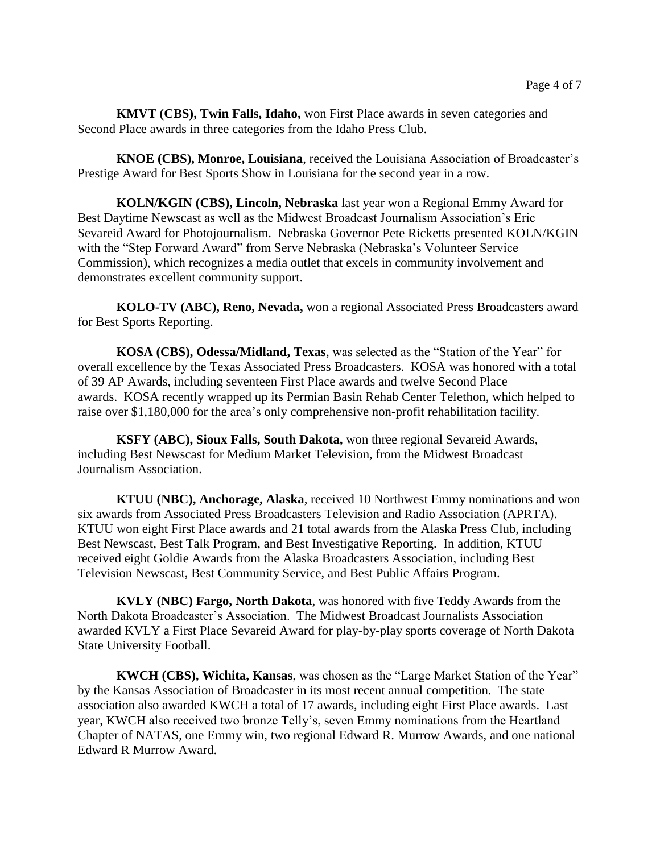**KMVT (CBS), Twin Falls, Idaho,** won First Place awards in seven categories and Second Place awards in three categories from the Idaho Press Club.

**KNOE (CBS), Monroe, Louisiana**, received the Louisiana Association of Broadcaster's Prestige Award for Best Sports Show in Louisiana for the second year in a row.

**KOLN/KGIN (CBS), Lincoln, Nebraska** last year won a Regional Emmy Award for Best Daytime Newscast as well as the Midwest Broadcast Journalism Association's Eric Sevareid Award for Photojournalism. Nebraska Governor Pete Ricketts presented KOLN/KGIN with the "Step Forward Award" from Serve Nebraska (Nebraska's Volunteer Service Commission), which recognizes a media outlet that excels in community involvement and demonstrates excellent community support.

**KOLO-TV (ABC), Reno, Nevada,** won a regional Associated Press Broadcasters award for Best Sports Reporting.

**KOSA (CBS), Odessa/Midland, Texas**, was selected as the "Station of the Year" for overall excellence by the Texas Associated Press Broadcasters. KOSA was honored with a total of 39 AP Awards, including seventeen First Place awards and twelve Second Place awards. KOSA recently wrapped up its Permian Basin Rehab Center Telethon, which helped to raise over \$1,180,000 for the area's only comprehensive non-profit rehabilitation facility.

**KSFY (ABC), Sioux Falls, South Dakota,** won three regional Sevareid Awards, including Best Newscast for Medium Market Television, from the Midwest Broadcast Journalism Association.

**KTUU (NBC), Anchorage, Alaska**, received 10 Northwest Emmy nominations and won six awards from Associated Press Broadcasters Television and Radio Association (APRTA). KTUU won eight First Place awards and 21 total awards from the Alaska Press Club, including Best Newscast, Best Talk Program, and Best Investigative Reporting. In addition, KTUU received eight Goldie Awards from the Alaska Broadcasters Association, including Best Television Newscast, Best Community Service, and Best Public Affairs Program.

**KVLY (NBC) Fargo, North Dakota**, was honored with five Teddy Awards from the North Dakota Broadcaster's Association. The Midwest Broadcast Journalists Association awarded KVLY a First Place Sevareid Award for play-by-play sports coverage of North Dakota State University Football.

**KWCH (CBS), Wichita, Kansas**, was chosen as the "Large Market Station of the Year" by the Kansas Association of Broadcaster in its most recent annual competition. The state association also awarded KWCH a total of 17 awards, including eight First Place awards. Last year, KWCH also received two bronze Telly's, seven Emmy nominations from the Heartland Chapter of NATAS, one Emmy win, two regional Edward R. Murrow Awards, and one national Edward R Murrow Award.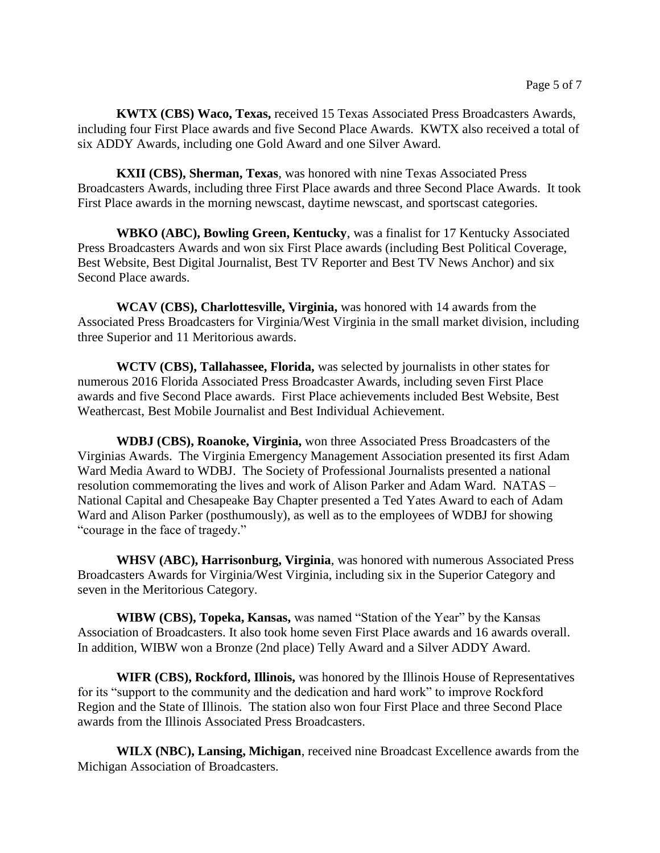**KWTX (CBS) Waco, Texas,** received 15 Texas Associated Press Broadcasters Awards, including four First Place awards and five Second Place Awards. KWTX also received a total of six ADDY Awards, including one Gold Award and one Silver Award.

**KXII (CBS), Sherman, Texas**, was honored with nine Texas Associated Press Broadcasters Awards, including three First Place awards and three Second Place Awards. It took First Place awards in the morning newscast, daytime newscast, and sportscast categories.

**WBKO (ABC), Bowling Green, Kentucky**, was a finalist for 17 Kentucky Associated Press Broadcasters Awards and won six First Place awards (including Best Political Coverage, Best Website, Best Digital Journalist, Best TV Reporter and Best TV News Anchor) and six Second Place awards.

**WCAV (CBS), Charlottesville, Virginia,** was honored with 14 awards from the Associated Press Broadcasters for Virginia/West Virginia in the small market division, including three Superior and 11 Meritorious awards.

**WCTV (CBS), Tallahassee, Florida,** was selected by journalists in other states for numerous 2016 Florida Associated Press Broadcaster Awards, including seven First Place awards and five Second Place awards. First Place achievements included Best Website, Best Weathercast, Best Mobile Journalist and Best Individual Achievement.

**WDBJ (CBS), Roanoke, Virginia,** won three Associated Press Broadcasters of the Virginias Awards. The Virginia Emergency Management Association presented its first Adam Ward Media Award to WDBJ. The Society of Professional Journalists presented a national resolution commemorating the lives and work of Alison Parker and Adam Ward. NATAS – National Capital and Chesapeake Bay Chapter presented a Ted Yates Award to each of Adam Ward and Alison Parker (posthumously), as well as to the employees of WDBJ for showing "courage in the face of tragedy."

**WHSV (ABC), Harrisonburg, Virginia**, was honored with numerous Associated Press Broadcasters Awards for Virginia/West Virginia, including six in the Superior Category and seven in the Meritorious Category.

**WIBW (CBS), Topeka, Kansas,** was named "Station of the Year" by the Kansas Association of Broadcasters. It also took home seven First Place awards and 16 awards overall. In addition, WIBW won a Bronze (2nd place) Telly Award and a Silver ADDY Award.

**WIFR (CBS), Rockford, Illinois,** was honored by the Illinois House of Representatives for its "support to the community and the dedication and hard work" to improve Rockford Region and the State of Illinois. The station also won four First Place and three Second Place awards from the Illinois Associated Press Broadcasters.

**WILX (NBC), Lansing, Michigan**, received nine Broadcast Excellence awards from the Michigan Association of Broadcasters.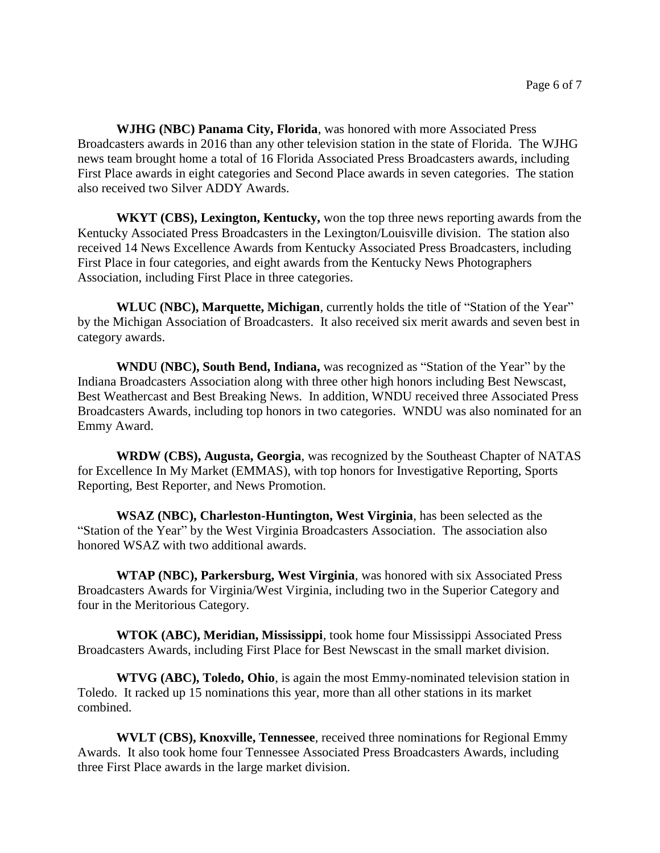**WJHG (NBC) Panama City, Florida**, was honored with more Associated Press Broadcasters awards in 2016 than any other television station in the state of Florida. The WJHG news team brought home a total of 16 Florida Associated Press Broadcasters awards, including First Place awards in eight categories and Second Place awards in seven categories. The station also received two Silver ADDY Awards.

**WKYT (CBS), Lexington, Kentucky,** won the top three news reporting awards from the Kentucky Associated Press Broadcasters in the Lexington/Louisville division. The station also received 14 News Excellence Awards from Kentucky Associated Press Broadcasters, including First Place in four categories, and eight awards from the Kentucky News Photographers Association, including First Place in three categories.

**WLUC (NBC), Marquette, Michigan**, currently holds the title of "Station of the Year" by the Michigan Association of Broadcasters. It also received six merit awards and seven best in category awards.

**WNDU (NBC), South Bend, Indiana,** was recognized as "Station of the Year" by the Indiana Broadcasters Association along with three other high honors including Best Newscast, Best Weathercast and Best Breaking News. In addition, WNDU received three Associated Press Broadcasters Awards, including top honors in two categories. WNDU was also nominated for an Emmy Award.

**WRDW (CBS), Augusta, Georgia**, was recognized by the Southeast Chapter of NATAS for Excellence In My Market (EMMAS), with top honors for Investigative Reporting, Sports Reporting, Best Reporter, and News Promotion.

**WSAZ (NBC), Charleston-Huntington, West Virginia**, has been selected as the "Station of the Year" by the West Virginia Broadcasters Association. The association also honored WSAZ with two additional awards.

**WTAP (NBC), Parkersburg, West Virginia**, was honored with six Associated Press Broadcasters Awards for Virginia/West Virginia, including two in the Superior Category and four in the Meritorious Category.

**WTOK (ABC), Meridian, Mississippi**, took home four Mississippi Associated Press Broadcasters Awards, including First Place for Best Newscast in the small market division.

**WTVG (ABC), Toledo, Ohio**, is again the most Emmy-nominated television station in Toledo. It racked up 15 nominations this year, more than all other stations in its market combined.

**WVLT (CBS), Knoxville, Tennessee**, received three nominations for Regional Emmy Awards. It also took home four Tennessee Associated Press Broadcasters Awards, including three First Place awards in the large market division.